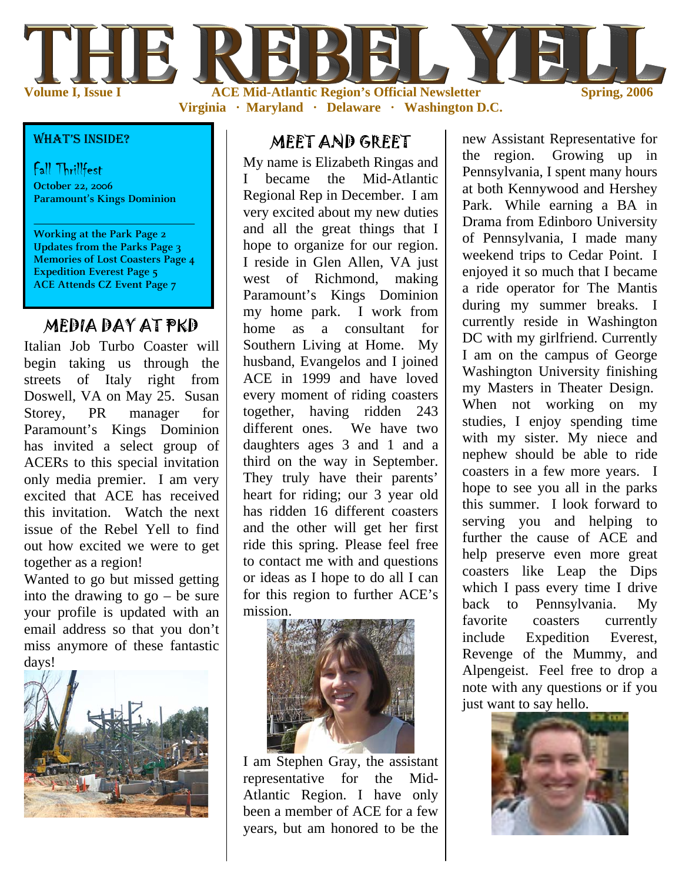

**Virginia · Maryland · Delaware · Washington D.C.** 

#### WHAT'S INSIDE?

#### Fall Thrillfest

**October 22, 2006 Paramount's Kings Dominion** 

**Working at the Park Page 2 Updates from the Parks Page 3 Memories of Lost Coasters Page 4 Expedition Everest Page 5 ACE Attends CZ Event Page 7** 

### MEDIA DAY AT PKD

Italian Job Turbo Coaster will begin taking us through the streets of Italy right from Doswell, VA on May 25. Susan Storey, PR manager for Paramount's Kings Dominion has invited a select group of ACERs to this special invitation only media premier. I am very excited that ACE has received this invitation. Watch the next issue of the Rebel Yell to find out how excited we were to get together as a region!

Wanted to go but missed getting into the drawing to go – be sure your profile is updated with an email address so that you don't miss anymore of these fantastic days!



#### MEET AND GREET

My name is Elizabeth Ringas and I became the Mid-Atlantic Regional Rep in December. I am very excited about my new duties and all the great things that I hope to organize for our region. I reside in Glen Allen, VA just west of Richmond, making Paramount's Kings Dominion my home park. I work from home as a consultant for Southern Living at Home. My husband, Evangelos and I joined ACE in 1999 and have loved every moment of riding coasters together, having ridden 243 different ones. We have two daughters ages 3 and 1 and a third on the way in September. They truly have their parents' heart for riding; our 3 year old has ridden 16 different coasters and the other will get her first ride this spring. Please feel free to contact me with and questions or ideas as I hope to do all I can for this region to further ACE's mission.



I am Stephen Gray, the assistant representative for the Mid-Atlantic Region. I have only been a member of ACE for a few years, but am honored to be the

new Assistant Representative for the region. Growing up in Pennsylvania, I spent many hours at both Kennywood and Hershey Park. While earning a BA in Drama from Edinboro University of Pennsylvania, I made many weekend trips to Cedar Point. I enjoyed it so much that I became a ride operator for The Mantis during my summer breaks. I currently reside in Washington DC with my girlfriend. Currently I am on the campus of George Washington University finishing my Masters in Theater Design. When not working on my studies, I enjoy spending time with my sister. My niece and nephew should be able to ride coasters in a few more years. I hope to see you all in the parks this summer. I look forward to serving you and helping to further the cause of ACE and help preserve even more great coasters like Leap the Dips which I pass every time I drive back to Pennsylvania. My favorite coasters currently include Expedition Everest, Revenge of the Mummy, and Alpengeist. Feel free to drop a note with any questions or if you just want to say hello.

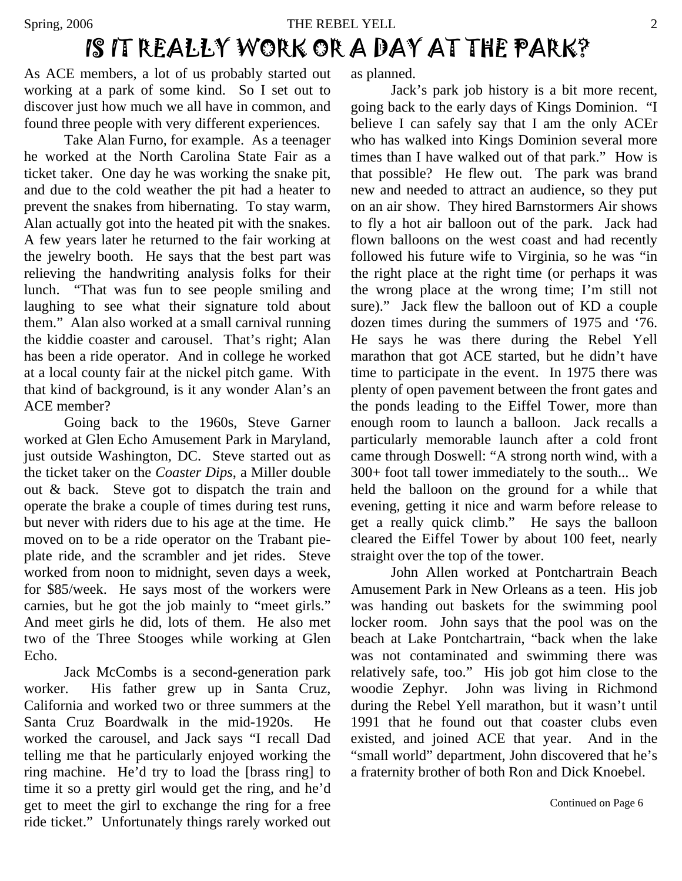### Spring, 2006 THE REBEL YELL 2 IS IT REALLY WORK OR A DAY AT THE PARK?

As ACE members, a lot of us probably started out working at a park of some kind. So I set out to discover just how much we all have in common, and found three people with very different experiences.

 Take Alan Furno, for example. As a teenager he worked at the North Carolina State Fair as a ticket taker. One day he was working the snake pit, and due to the cold weather the pit had a heater to prevent the snakes from hibernating. To stay warm, Alan actually got into the heated pit with the snakes. A few years later he returned to the fair working at the jewelry booth. He says that the best part was relieving the handwriting analysis folks for their lunch. "That was fun to see people smiling and laughing to see what their signature told about them." Alan also worked at a small carnival running the kiddie coaster and carousel. That's right; Alan has been a ride operator. And in college he worked at a local county fair at the nickel pitch game. With that kind of background, is it any wonder Alan's an ACE member?

 Going back to the 1960s, Steve Garner worked at Glen Echo Amusement Park in Maryland, just outside Washington, DC. Steve started out as the ticket taker on the *Coaster Dips*, a Miller double out & back. Steve got to dispatch the train and operate the brake a couple of times during test runs, but never with riders due to his age at the time. He moved on to be a ride operator on the Trabant pieplate ride, and the scrambler and jet rides. Steve worked from noon to midnight, seven days a week, for \$85/week. He says most of the workers were carnies, but he got the job mainly to "meet girls." And meet girls he did, lots of them. He also met two of the Three Stooges while working at Glen Echo.

 Jack McCombs is a second-generation park worker. His father grew up in Santa Cruz, California and worked two or three summers at the Santa Cruz Boardwalk in the mid-1920s. He worked the carousel, and Jack says "I recall Dad telling me that he particularly enjoyed working the ring machine. He'd try to load the [brass ring] to time it so a pretty girl would get the ring, and he'd get to meet the girl to exchange the ring for a free ride ticket." Unfortunately things rarely worked out as planned.

 Jack's park job history is a bit more recent, going back to the early days of Kings Dominion. "I believe I can safely say that I am the only ACEr who has walked into Kings Dominion several more times than I have walked out of that park." How is that possible? He flew out. The park was brand new and needed to attract an audience, so they put on an air show. They hired Barnstormers Air shows to fly a hot air balloon out of the park. Jack had flown balloons on the west coast and had recently followed his future wife to Virginia, so he was "in the right place at the right time (or perhaps it was the wrong place at the wrong time; I'm still not sure)." Jack flew the balloon out of KD a couple dozen times during the summers of 1975 and '76. He says he was there during the Rebel Yell marathon that got ACE started, but he didn't have time to participate in the event. In 1975 there was plenty of open pavement between the front gates and the ponds leading to the Eiffel Tower, more than enough room to launch a balloon. Jack recalls a particularly memorable launch after a cold front came through Doswell: "A strong north wind, with a 300+ foot tall tower immediately to the south... We held the balloon on the ground for a while that evening, getting it nice and warm before release to get a really quick climb." He says the balloon cleared the Eiffel Tower by about 100 feet, nearly straight over the top of the tower.

 John Allen worked at Pontchartrain Beach Amusement Park in New Orleans as a teen. His job was handing out baskets for the swimming pool locker room. John says that the pool was on the beach at Lake Pontchartrain, "back when the lake was not contaminated and swimming there was relatively safe, too." His job got him close to the woodie Zephyr. John was living in Richmond during the Rebel Yell marathon, but it wasn't until 1991 that he found out that coaster clubs even existed, and joined ACE that year. And in the "small world" department, John discovered that he's a fraternity brother of both Ron and Dick Knoebel.

Continued on Page 6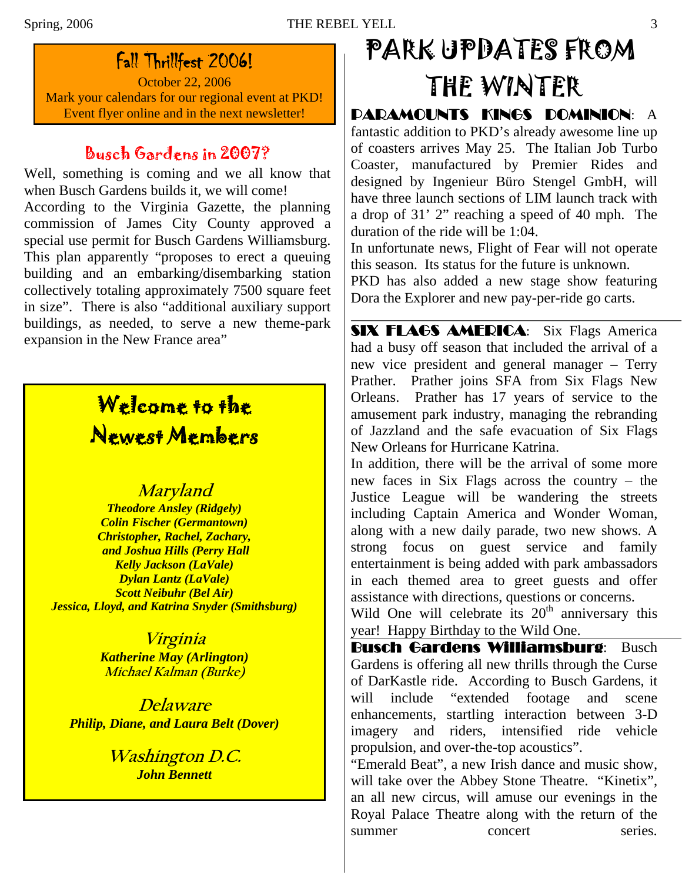### Fall Thrillfest 2006!

October 22, 2006 Mark your calendars for our regional event at PKD!

### Busch Gardens in 2007?

Well, something is coming and we all know that when Busch Gardens builds it, we will come! According to the Virginia Gazette, the planning commission of James City County approved a special use permit for Busch Gardens Williamsburg. This plan apparently "proposes to erect a queuing building and an embarking/disembarking station collectively totaling approximately 7500 square feet in size". There is also "additional auxiliary support buildings, as needed, to serve a new theme-park expansion in the New France area"

## Welcome to the Newest Members

### **Maryland**

*Theodore Ansley (Ridgely) Colin Fischer (Germantown) Christopher, Rachel, Zachary, and Joshua Hills (Perry Hall Kelly Jackson (LaVale) Dylan Lantz (LaVale) Scott Neibuhr (Bel Air) Jessica, Lloyd, and Katrina Snyder (Smithsburg)* 

> **Virginia**  *Katherine May (Arlington)*  **Michael Kalman (Burke)**

**Delaware**  *Philip, Diane, and Laura Belt (Dover)*

> **Washington D.C.**  *John Bennett*

# PARK UPDATES FROM THE WINTER

Event flyer online and in the next newsletter! | DARAMOUNTS KINGS DOMINION: A fantastic addition to PKD's already awesome line up of coasters arrives May 25. The Italian Job Turbo Coaster, manufactured by Premier Rides and designed by [Ingenieur Büro Stengel GmbH,](http://www.rcdb.com/cd30.htm) will have three launch sections of LIM launch track with a drop of 31' 2" reaching a speed of 40 mph. The duration of the ride will be 1:04.

In unfortunate news, Flight of Fear will not operate this season. Its status for the future is unknown.

PKD has also added a new stage show featuring Dora the Explorer and new pay-per-ride go carts.

SIX FLAGS AMERICA: Six Flags America had a busy off season that included the arrival of a new vice president and general manager – Terry Prather. Prather joins SFA from Six Flags New Orleans. Prather has 17 years of service to the amusement park industry, managing the rebranding of Jazzland and the safe evacuation of Six Flags New Orleans for Hurricane Katrina.

In addition, there will be the arrival of some more new faces in Six Flags across the country – the Justice League will be wandering the streets including Captain America and Wonder Woman, along with a new daily parade, two new shows. A strong focus on guest service and family entertainment is being added with park ambassadors in each themed area to greet guests and offer assistance with directions, questions or concerns.

Wild One will celebrate its  $20<sup>th</sup>$  anniversary this year! Happy Birthday to the Wild One.

Busch Gardens Williamsburg: Busch Gardens is offering all new thrills through the Curse of DarKastle ride. According to Busch Gardens, it will include "extended footage and scene enhancements, startling interaction between 3-D imagery and riders, intensified ride vehicle propulsion, and over-the-top acoustics".

"Emerald Beat", a new Irish dance and music show, will take over the Abbey Stone Theatre. "Kinetix", an all new circus, will amuse our evenings in the Royal Palace Theatre along with the return of the summer concert series.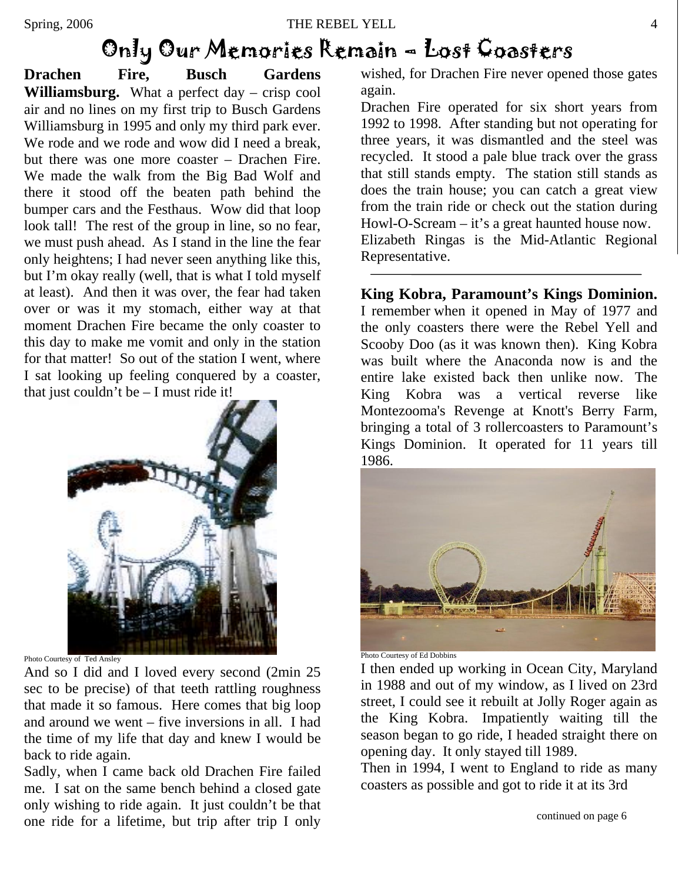## Only Our Memories Remain – Lost Coasters

**Drachen Fire, Busch Gardens Williamsburg.** What a perfect day – crisp cool air and no lines on my first trip to Busch Gardens Williamsburg in 1995 and only my third park ever. We rode and we rode and wow did I need a break. but there was one more coaster – Drachen Fire. We made the walk from the Big Bad Wolf and there it stood off the beaten path behind the bumper cars and the Festhaus. Wow did that loop look tall! The rest of the group in line, so no fear, we must push ahead. As I stand in the line the fear only heightens; I had never seen anything like this, but I'm okay really (well, that is what I told myself at least). And then it was over, the fear had taken over or was it my stomach, either way at that moment Drachen Fire became the only coaster to this day to make me vomit and only in the station for that matter! So out of the station I went, where I sat looking up feeling conquered by a coaster, that just couldn't be  $-1$  must ride it!



Photo Courtesy of Ted Ansley

And so I did and I loved every second (2min 25 sec to be precise) of that teeth rattling roughness that made it so famous. Here comes that big loop and around we went – five inversions in all. I had the time of my life that day and knew I would be back to ride again.

Sadly, when I came back old Drachen Fire failed me. I sat on the same bench behind a closed gate only wishing to ride again. It just couldn't be that one ride for a lifetime, but trip after trip I only

wished, for Drachen Fire never opened those gates again.

Drachen Fire operated for six short years from 1992 to 1998. After standing but not operating for three years, it was dismantled and the steel was recycled. It stood a pale blue track over the grass that still stands empty. The station still stands as does the train house; you can catch a great view from the train ride or check out the station during Howl-O-Scream – it's a great haunted house now. Elizabeth Ringas is the Mid-Atlantic Regional Representative.

**King Kobra, Paramount's Kings Dominion.** I remember when it opened in May of 1977 and the only coasters there were the Rebel Yell and Scooby Doo (as it was known then). King Kobra was built where the Anaconda now is and the entire lake existed back then unlike now. The King Kobra was a vertical reverse like Montezooma's Revenge at Knott's Berry Farm, bringing a total of 3 rollercoasters to Paramount's Kings Dominion. It operated for 11 years till 1986.



Photo Courtesy of Ed Dobbins

I then ended up working in Ocean City, Maryland in 1988 and out of my window, as I lived on 23rd street, I could see it rebuilt at Jolly Roger again as the King Kobra. Impatiently waiting till the season began to go ride, I headed straight there on opening day. It only stayed till 1989.

Then in 1994, I went to England to ride as many coasters as possible and got to ride it at its 3rd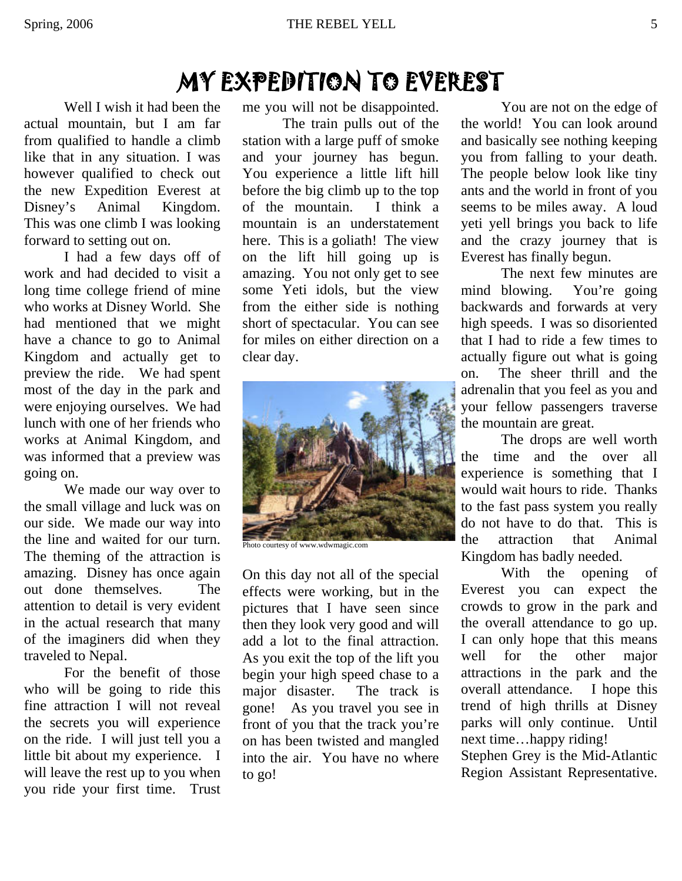## MY EXPEDITION TO EVEREST

Well I wish it had been the actual mountain, but I am far from qualified to handle a climb like that in any situation. I was however qualified to check out the new Expedition Everest at Disney's Animal Kingdom. This was one climb I was looking forward to setting out on.

 I had a few days off of work and had decided to visit a long time college friend of mine who works at Disney World. She had mentioned that we might have a chance to go to Animal Kingdom and actually get to preview the ride. We had spent most of the day in the park and were enjoying ourselves. We had lunch with one of her friends who works at Animal Kingdom, and was informed that a preview was going on.

 We made our way over to the small village and luck was on our side. We made our way into the line and waited for our turn. The theming of the attraction is amazing. Disney has once again out done themselves. The attention to detail is very evident in the actual research that many of the imaginers did when they traveled to Nepal.

 For the benefit of those who will be going to ride this fine attraction I will not reveal the secrets you will experience on the ride. I will just tell you a little bit about my experience. I will leave the rest up to you when you ride your first time. Trust me you will not be disappointed.

 The train pulls out of the station with a large puff of smoke and your journey has begun. You experience a little lift hill before the big climb up to the top of the mountain. I think a mountain is an understatement here. This is a goliath! The view on the lift hill going up is amazing. You not only get to see some Yeti idols, but the view from the either side is nothing short of spectacular. You can see for miles on either direction on a clear day.



Photo courtesy of www.wdwmagic.com

On this day not all of the special effects were working, but in the pictures that I have seen since then they look very good and will add a lot to the final attraction. As you exit the top of the lift you begin your high speed chase to a major disaster. The track is gone! As you travel you see in front of you that the track you're on has been twisted and mangled into the air. You have no where to go!

 You are not on the edge of the world! You can look around and basically see nothing keeping you from falling to your death. The people below look like tiny ants and the world in front of you seems to be miles away. A loud yeti yell brings you back to life and the crazy journey that is Everest has finally begun.

 The next few minutes are mind blowing. You're going backwards and forwards at very high speeds. I was so disoriented that I had to ride a few times to actually figure out what is going on. The sheer thrill and the adrenalin that you feel as you and your fellow passengers traverse the mountain are great.

 The drops are well worth the time and the over all experience is something that I would wait hours to ride. Thanks to the fast pass system you really do not have to do that. This is the attraction that Animal Kingdom has badly needed.

 With the opening of Everest you can expect the crowds to grow in the park and the overall attendance to go up. I can only hope that this means well for the other major attractions in the park and the overall attendance. I hope this trend of high thrills at Disney parks will only continue. Until next time…happy riding!

Stephen Grey is the Mid-Atlantic Region Assistant Representative.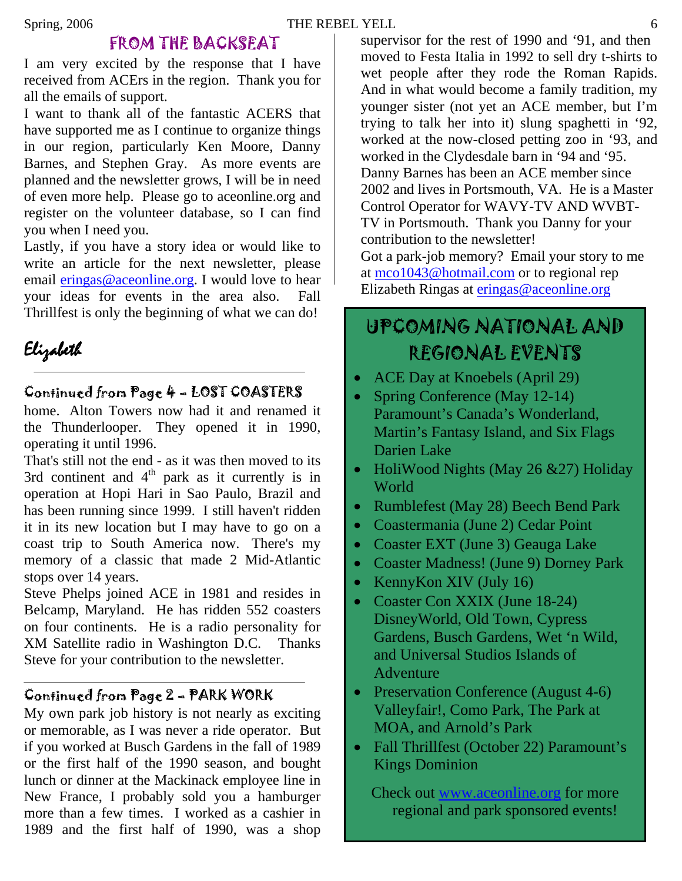#### Spring, 2006 THE REBEL YELL 6

### FROM THE BACKSEAT

I am very excited by the response that I have received from ACErs in the region. Thank you for all the emails of support.

I want to thank all of the fantastic ACERS that have supported me as I continue to organize things in our region, particularly Ken Moore, Danny Barnes, and Stephen Gray. As more events are planned and the newsletter grows, I will be in need of even more help. Please go to aceonline.org and register on the volunteer database, so I can find you when I need you.

Lastly, if you have a story idea or would like to write an article for the next newsletter, please email [eringas@aceonline.org](mailto:eringas@aceonline.org). I would love to hear your ideas for events in the area also. Fall Thrillfest is only the beginning of what we can do!

## Elizabeth

### Continued from Page 4 – LOST COASTERS

home. Alton Towers now had it and renamed it the Thunderlooper. They opened it in 1990, operating it until 1996.

That's still not the end - as it was then moved to its 3rd continent and  $4<sup>th</sup>$  park as it currently is in operation at Hopi Hari in Sao Paulo, Brazil and has been running since 1999. I still haven't ridden it in its new location but I may have to go on a coast trip to South America now. There's my memory of a classic that made 2 Mid-Atlantic stops over 14 years.

Steve Phelps joined ACE in 1981 and resides in Belcamp, Maryland. He has ridden 552 coasters on four continents. He is a radio personality for XM Satellite radio in Washington D.C. Thanks Steve for your contribution to the newsletter.

### Continued from Page 2 – PARK WORK

My own park job history is not nearly as exciting or memorable, as I was never a ride operator. But if you worked at Busch Gardens in the fall of 1989 or the first half of the 1990 season, and bought lunch or dinner at the Mackinack employee line in New France, I probably sold you a hamburger more than a few times. I worked as a cashier in 1989 and the first half of 1990, was a shop

supervisor for the rest of 1990 and '91, and then moved to Festa Italia in 1992 to sell dry t-shirts to wet people after they rode the Roman Rapids. And in what would become a family tradition, my younger sister (not yet an ACE member, but I'm trying to talk her into it) slung spaghetti in '92, worked at the now-closed petting zoo in '93, and worked in the Clydesdale barn in '94 and '95. Danny Barnes has been an ACE member since 2002 and lives in Portsmouth, VA. He is a Master Control Operator for WAVY-TV AND WVBT-TV in Portsmouth. Thank you Danny for your contribution to the newsletter! Got a park-job memory? Email your story to me

at [mco1043@hotmail.com](mailto:mco1043@hotmail.com) or to regional rep Elizabeth Ringas at [eringas@aceonline.org](mailto:eringas@aceonline.org)

### UPCOMING NATIONAL AND REGIONAL EVENTS

- ACE Day at Knoebels (April 29)
- Spring Conference (May 12-14) Paramount's Canada's Wonderland, Martin's Fantasy Island, and Six Flags Darien Lake
- HoliWood Nights (May 26 & 27) Holiday World
- Rumblefest (May 28) Beech Bend Park
- Coastermania (June 2) Cedar Point
- Coaster EXT (June 3) Geauga Lake
- Coaster Madness! (June 9) Dorney Park
- KennyKon XIV (July 16)
- Coaster Con XXIX (June 18-24) DisneyWorld, Old Town, Cypress Gardens, Busch Gardens, Wet 'n Wild, and Universal Studios Islands of Adventure
- Preservation Conference (August 4-6) Valleyfair!, Como Park, The Park at MOA, and Arnold's Park
- Fall Thrillfest (October 22) Paramount's Kings Dominion

Check out [www.aceonline.org](http://www.aceonline.org/) for more regional and park sponsored events!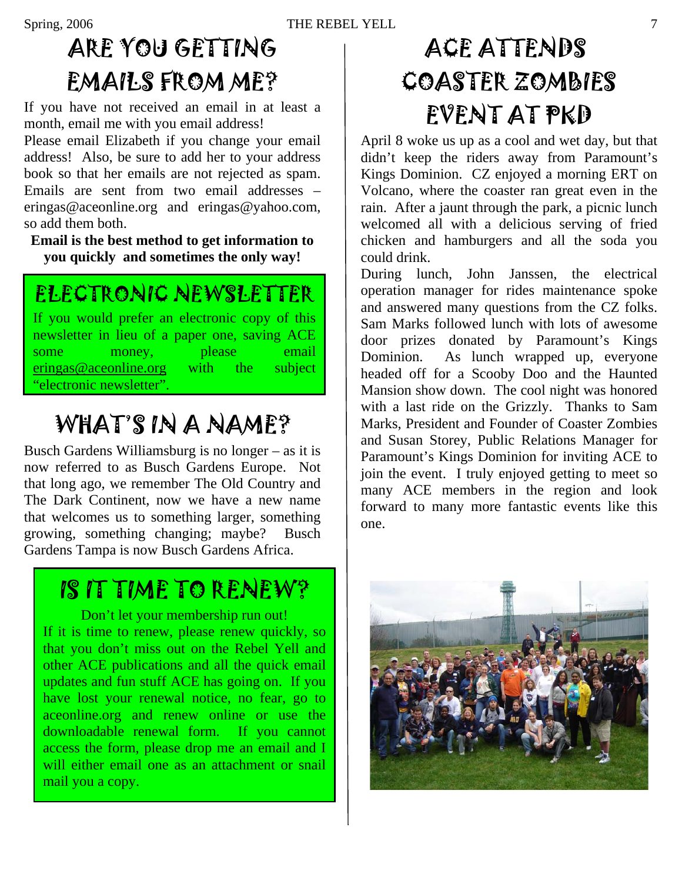# ARE YOU GETTING EMAILS FROM ME?

If you have not received an email in at least a month, email me with you email address!

Please email Elizabeth if you change your email address! Also, be sure to add her to your address book so that her emails are not rejected as spam. Emails are sent from two email addresses – [eringas@aceonline.org](mailto:eringas@aceonline.org) and [eringas@yahoo.com,](mailto:eringas@yahoo.com) so add them both.

**Email is the best method to get information to you quickly and sometimes the only way!** 

## ELECTRONIC NEWSLETTER

If you would prefer an electronic copy of this newsletter in lieu of a paper one, saving ACE some money, please email [eringas@aceonline.org](mailto:eringas@aceonline.org) with the subject "electronic newsletter".

# WHAT'S IN A NAME?

Busch Gardens Williamsburg is no longer – as it is now referred to as Busch Gardens Europe. Not that long ago, we remember The Old Country and The Dark Continent, now we have a new name that welcomes us to something larger, something growing, something changing; maybe? Busch Gardens Tampa is now Busch Gardens Africa.

## IS IT TIME TO RENEW?

Don't let your membership run out! If it is time to renew, please renew quickly, so that you don't miss out on the Rebel Yell and other ACE publications and all the quick email updates and fun stuff ACE has going on. If you have lost your renewal notice, no fear, go to aceonline.org and renew online or use the downloadable renewal form. If you cannot access the form, please drop me an email and I will either email one as an attachment or snail mail you a copy.

# ACE ATTENDS COASTER ZOMBIES EVENT AT PKD

April 8 woke us up as a cool and wet day, but that didn't keep the riders away from Paramount's Kings Dominion. CZ enjoyed a morning ERT on Volcano, where the coaster ran great even in the rain. After a jaunt through the park, a picnic lunch welcomed all with a delicious serving of fried chicken and hamburgers and all the soda you could drink.

During lunch, John Janssen, the electrical operation manager for rides maintenance spoke and answered many questions from the CZ folks. Sam Marks followed lunch with lots of awesome door prizes donated by Paramount's Kings Dominion. As lunch wrapped up, everyone headed off for a Scooby Doo and the Haunted Mansion show down. The cool night was honored with a last ride on the Grizzly. Thanks to Sam Marks, President and Founder of Coaster Zombies and Susan Storey, Public Relations Manager for Paramount's Kings Dominion for inviting ACE to join the event. I truly enjoyed getting to meet so many ACE members in the region and look forward to many more fantastic events like this one.